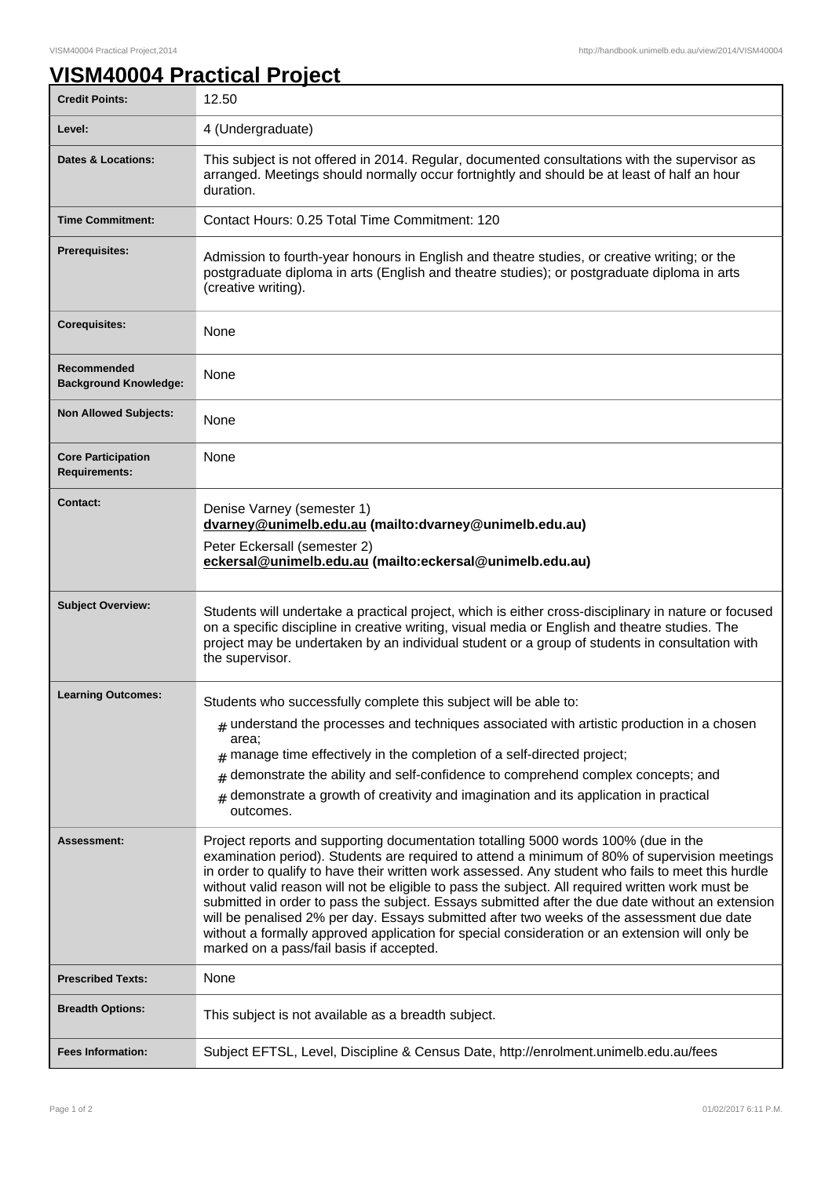٦

## **VISM40004 Practical Project**

| <b>Credit Points:</b>                             | 12.50                                                                                                                                                                                                                                                                                                                                                                                                                                                                                                                                                                                                                                                                                                                                        |
|---------------------------------------------------|----------------------------------------------------------------------------------------------------------------------------------------------------------------------------------------------------------------------------------------------------------------------------------------------------------------------------------------------------------------------------------------------------------------------------------------------------------------------------------------------------------------------------------------------------------------------------------------------------------------------------------------------------------------------------------------------------------------------------------------------|
| Level:                                            | 4 (Undergraduate)                                                                                                                                                                                                                                                                                                                                                                                                                                                                                                                                                                                                                                                                                                                            |
| <b>Dates &amp; Locations:</b>                     | This subject is not offered in 2014. Regular, documented consultations with the supervisor as<br>arranged. Meetings should normally occur fortnightly and should be at least of half an hour<br>duration.                                                                                                                                                                                                                                                                                                                                                                                                                                                                                                                                    |
| <b>Time Commitment:</b>                           | Contact Hours: 0.25 Total Time Commitment: 120                                                                                                                                                                                                                                                                                                                                                                                                                                                                                                                                                                                                                                                                                               |
| <b>Prerequisites:</b>                             | Admission to fourth-year honours in English and theatre studies, or creative writing; or the<br>postgraduate diploma in arts (English and theatre studies); or postgraduate diploma in arts<br>(creative writing).                                                                                                                                                                                                                                                                                                                                                                                                                                                                                                                           |
| <b>Corequisites:</b>                              | None                                                                                                                                                                                                                                                                                                                                                                                                                                                                                                                                                                                                                                                                                                                                         |
| Recommended<br><b>Background Knowledge:</b>       | <b>None</b>                                                                                                                                                                                                                                                                                                                                                                                                                                                                                                                                                                                                                                                                                                                                  |
| <b>Non Allowed Subjects:</b>                      | None                                                                                                                                                                                                                                                                                                                                                                                                                                                                                                                                                                                                                                                                                                                                         |
| <b>Core Participation</b><br><b>Requirements:</b> | None                                                                                                                                                                                                                                                                                                                                                                                                                                                                                                                                                                                                                                                                                                                                         |
| <b>Contact:</b>                                   | Denise Varney (semester 1)<br>dvarney@unimelb.edu.au (mailto:dvarney@unimelb.edu.au)<br>Peter Eckersall (semester 2)<br>eckersal@unimelb.edu.au (mailto:eckersal@unimelb.edu.au)                                                                                                                                                                                                                                                                                                                                                                                                                                                                                                                                                             |
| <b>Subject Overview:</b>                          | Students will undertake a practical project, which is either cross-disciplinary in nature or focused<br>on a specific discipline in creative writing, visual media or English and theatre studies. The<br>project may be undertaken by an individual student or a group of students in consultation with<br>the supervisor.                                                                                                                                                                                                                                                                                                                                                                                                                  |
| <b>Learning Outcomes:</b>                         | Students who successfully complete this subject will be able to:                                                                                                                                                                                                                                                                                                                                                                                                                                                                                                                                                                                                                                                                             |
|                                                   | $#$ understand the processes and techniques associated with artistic production in a chosen<br>area:<br>manage time effectively in the completion of a self-directed project;<br>#<br>demonstrate the ability and self-confidence to comprehend complex concepts; and<br>#<br>$#$ demonstrate a growth of creativity and imagination and its application in practical<br>outcomes.                                                                                                                                                                                                                                                                                                                                                           |
| <b>Assessment:</b>                                | Project reports and supporting documentation totalling 5000 words 100% (due in the<br>examination period). Students are required to attend a minimum of 80% of supervision meetings<br>in order to qualify to have their written work assessed. Any student who fails to meet this hurdle<br>without valid reason will not be eligible to pass the subject. All required written work must be<br>submitted in order to pass the subject. Essays submitted after the due date without an extension<br>will be penalised 2% per day. Essays submitted after two weeks of the assessment due date<br>without a formally approved application for special consideration or an extension will only be<br>marked on a pass/fail basis if accepted. |
| <b>Prescribed Texts:</b>                          | None                                                                                                                                                                                                                                                                                                                                                                                                                                                                                                                                                                                                                                                                                                                                         |
| <b>Breadth Options:</b>                           | This subject is not available as a breadth subject.                                                                                                                                                                                                                                                                                                                                                                                                                                                                                                                                                                                                                                                                                          |
| <b>Fees Information:</b>                          | Subject EFTSL, Level, Discipline & Census Date, http://enrolment.unimelb.edu.au/fees                                                                                                                                                                                                                                                                                                                                                                                                                                                                                                                                                                                                                                                         |